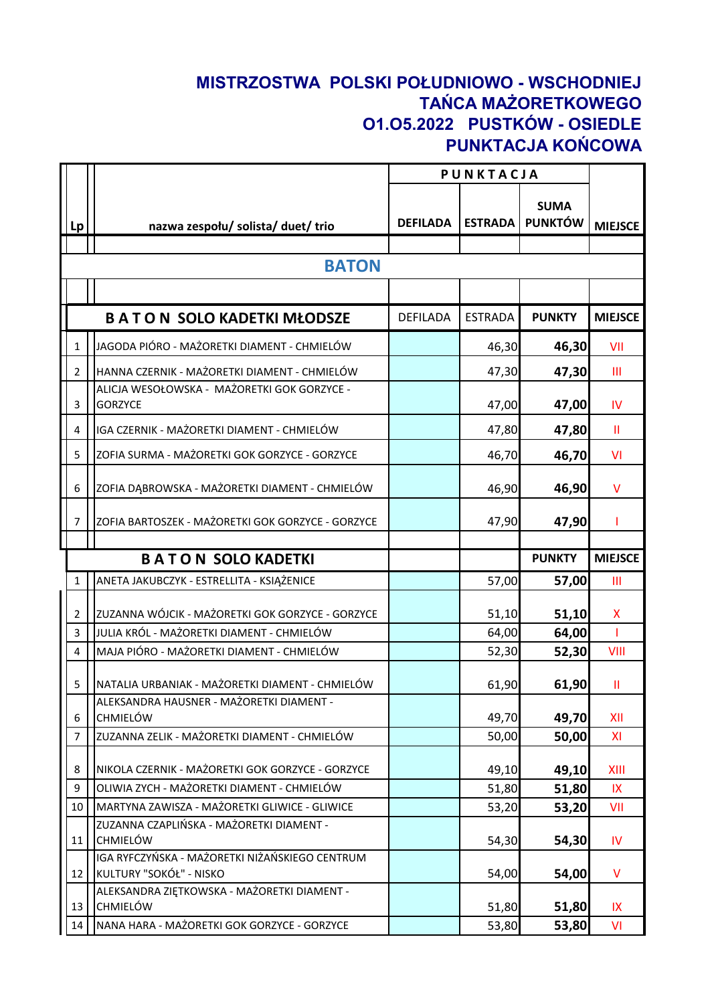## **MISTRZOSTWA POLSKI POŁUDNIOWO - WSCHODNIEJ TAŃCA MAŻORETKOWEGO O1.O5.2022 PUSTKÓW - OSIEDLE PUNKTACJA KOŃCOWA**

|                |                                                                           | PUNKTACJA       |                |                               |                |
|----------------|---------------------------------------------------------------------------|-----------------|----------------|-------------------------------|----------------|
| Lp             | nazwa zespołu/ solista/ duet/ trio                                        | <b>DEFILADA</b> | <b>ESTRADA</b> | <b>SUMA</b><br><b>PUNKTÓW</b> | <b>MIEJSCE</b> |
|                |                                                                           |                 |                |                               |                |
|                | <b>BATON</b>                                                              |                 |                |                               |                |
|                |                                                                           |                 |                |                               |                |
|                | <b>BATON SOLO KADETKI MŁODSZE</b>                                         | <b>DEFILADA</b> | <b>ESTRADA</b> | <b>PUNKTY</b>                 | <b>MIEJSCE</b> |
| $\mathbf{1}$   | JAGODA PIÓRO - MAŻORETKI DIAMENT - CHMIELÓW                               |                 | 46,30          | 46,30                         | VII            |
| $\overline{2}$ | HANNA CZERNIK - MAŻORETKI DIAMENT - CHMIELÓW                              |                 | 47,30          | 47,30                         | Ш              |
| 3              | ALICJA WESOŁOWSKA - MAŻORETKI GOK GORZYCE -<br><b>GORZYCE</b>             |                 | 47,00          | 47,00                         | <b>IV</b>      |
| 4              | IGA CZERNIK - MAŻORETKI DIAMENT - CHMIELÓW                                |                 | 47,80          | 47,80                         | Ш              |
| 5              | ZOFIA SURMA - MAŻORETKI GOK GORZYCE - GORZYCE                             |                 | 46,70          | 46,70                         | VI             |
| 6              | ZOFIA DĄBROWSKA - MAŻORETKI DIAMENT - CHMIELÓW                            |                 | 46,90          | 46,90                         | V              |
| $\overline{7}$ | ZOFIA BARTOSZEK - MAŻORETKI GOK GORZYCE - GORZYCE                         |                 | 47,90          | 47,90                         | L              |
|                | <b>BATON SOLO KADETKI</b>                                                 |                 |                | <b>PUNKTY</b>                 | <b>MIEJSCE</b> |
| $\mathbf{1}$   | ANETA JAKUBCZYK - ESTRELLITA - KSIĄŻENICE                                 |                 | 57,00          | 57,00                         | Ш              |
|                |                                                                           |                 |                |                               |                |
| $\overline{2}$ | ZUZANNA WÓJCIK - MAŻORETKI GOK GORZYCE - GORZYCE                          |                 | 51,10          | 51,10                         | X              |
| 3              | JULIA KRÓL - MAŻORETKI DIAMENT - CHMIELÓW                                 |                 | 64,00          | 64,00                         |                |
| $\overline{4}$ | MAJA PIÓRO - MAŻORETKI DIAMENT - CHMIELÓW                                 |                 | 52,30          | 52,30                         | VIII           |
| 5              | NATALIA URBANIAK - MAŻORETKI DIAMENT - CHMIELÓW                           |                 | 61,90          | 61,90                         | Ш              |
| 6              | ALEKSANDRA HAUSNER - MAŻORETKI DIAMENT -<br><b>CHMIELÓW</b>               |                 | 49,70          | 49,70                         | XII            |
| $\overline{7}$ | ZUZANNA ZELIK - MAŻORETKI DIAMENT - CHMIELÓW                              |                 | 50,00          | 50,00                         | XI             |
|                |                                                                           |                 |                |                               |                |
| 8              | NIKOLA CZERNIK - MAŻORETKI GOK GORZYCE - GORZYCE                          |                 | 49,10          | 49,10                         | XIII           |
| 9              | OLIWIA ZYCH - MAŻORETKI DIAMENT - CHMIELÓW                                |                 | 51,80          | 51,80                         | IX.            |
| 10             | MARTYNA ZAWISZA - MAŻORETKI GLIWICE - GLIWICE                             |                 | 53,20          | 53,20                         | VII            |
| 11             | ZUZANNA CZAPLIŃSKA - MAŻORETKI DIAMENT -<br>CHMIELÓW                      |                 | 54,30          | 54,30                         | IV.            |
| 12             | IGA RYFCZYŃSKA - MAŻORETKI NIŻAŃSKIEGO CENTRUM<br>KULTURY "SOKÓŁ" - NISKO |                 | 54,00          | 54,00                         | V              |
| 13             | ALEKSANDRA ZIĘTKOWSKA - MAŻORETKI DIAMENT -<br><b>CHMIELÓW</b>            |                 | 51,80          | 51,80                         | IX             |
| 14             | NANA HARA - MAŻORETKI GOK GORZYCE - GORZYCE                               |                 | 53,80          | 53,80                         | VI             |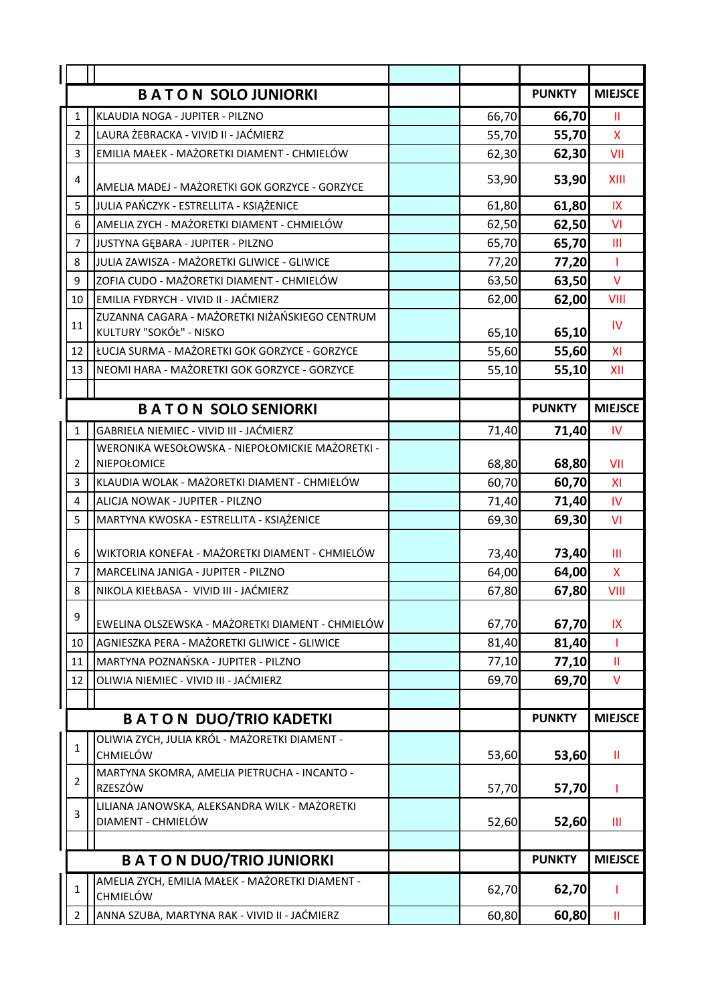|                | <b>BATON SOLO JUNIORKI</b>                                                |       | <b>PUNKTY</b> | <b>MIEJSCE</b> |
|----------------|---------------------------------------------------------------------------|-------|---------------|----------------|
| $\mathbf{1}$   | KLAUDIA NOGA - JUPITER - PILZNO                                           | 66,70 | 66,70         | Ш              |
| $\overline{2}$ | LAURA ŻEBRACKA - VIVID II - JAĆMIERZ                                      | 55,70 | 55,70         | X              |
| 3              | EMILIA MAŁEK - MAŻORETKI DIAMENT - CHMIELÓW                               | 62,30 | 62,30         | VII            |
| 4              | AMELIA MADEJ - MAŻORETKI GOK GORZYCE - GORZYCE                            | 53,90 | 53,90         | XIII           |
| 5              | JULIA PAŃCZYK - ESTRELLITA - KSIĄŻENICE                                   | 61,80 | 61,80         | IX             |
| 6              | AMELIA ZYCH - MAŻORETKI DIAMENT - CHMIELÓW                                | 62,50 | 62,50         | VI             |
| $\overline{7}$ | JUSTYNA GĘBARA - JUPITER - PILZNO                                         | 65,70 | 65,70         | Ш              |
| 8              | JULIA ZAWISZA - MAŻORETKI GLIWICE - GLIWICE                               | 77,20 | 77,20         | T              |
| 9              | ZOFIA CUDO - MAŻORETKI DIAMENT - CHMIELÓW                                 | 63,50 | 63,50         | V              |
| 10             | EMILIA FYDRYCH - VIVID II - JAĆMIERZ                                      | 62,00 | 62,00         | VIII           |
| 11             | ZUZANNA CAGARA - MAŻORETKI NIŻAŃSKIEGO CENTRUM<br>KULTURY "SOKÓŁ" - NISKO | 65,10 | 65,10         | IV             |
| 12             | ŁUCJA SURMA - MAŻORETKI GOK GORZYCE - GORZYCE                             | 55,60 | 55,60         | XI             |
| 13             | NEOMI HARA - MAŻORETKI GOK GORZYCE - GORZYCE                              | 55,10 | 55,10         | XII            |
|                |                                                                           |       |               |                |
|                | <b>BATON SOLO SENIORKI</b>                                                |       | <b>PUNKTY</b> | <b>MIEJSCE</b> |
| 1              | GABRIELA NIEMIEC - VIVID III - JAĆMIERZ                                   | 71,40 | 71,40         | IV             |
|                | WERONIKA WESOŁOWSKA - NIEPOŁOMICKIE MAŻORETKI -                           |       |               |                |
| $\overline{2}$ | NIEPOŁOMICE                                                               | 68,80 | 68,80         | VII            |
| 3              | KLAUDIA WOLAK - MAŻORETKI DIAMENT - CHMIELÓW                              | 60,70 | 60,70         | XI             |
| 4              | ALICJA NOWAK - JUPITER - PILZNO                                           | 71,40 | 71,40         | IV.            |
| 5              | MARTYNA KWOSKA - ESTRELLITA - KSIĄŻENICE                                  | 69,30 | 69,30         | VI             |
| 6              | WIKTORIA KONEFAŁ - MAŻORETKI DIAMENT - CHMIELÓW                           | 73,40 | 73,40         | Ш              |
| $\overline{7}$ | MARCELINA JANIGA - JUPITER - PILZNO                                       | 64,00 | 64,00         | X.             |
| 8              | NIKOLA KIEŁBASA - VIVID III - JAĆMIERZ                                    | 67,80 | 67,80         | VIII           |
| 9              | EWELINA OLSZEWSKA - MAŻORETKI DIAMENT - CHMIELÓW                          | 67,70 | 67,70         | IX             |
| 10             | AGNIESZKA PERA - MAŻORETKI GLIWICE - GLIWICE                              | 81,40 | 81,40         |                |
| 11             | MARTYNA POZNAŃSKA - JUPITER - PILZNO                                      | 77,10 | 77,10         | Ш              |
| 12             | OLIWIA NIEMIEC - VIVID III - JAĆMIERZ                                     | 69,70 | 69,70         | V              |
|                |                                                                           |       |               |                |
|                | <b>BATON DUO/TRIO KADETKI</b>                                             |       | <b>PUNKTY</b> | <b>MIEJSCE</b> |
| $\mathbf{1}$   | OLIWIA ZYCH, JULIA KRÓL - MAŻORETKI DIAMENT -<br><b>CHMIELÓW</b>          | 53,60 | 53,60         | Ш              |
| 2              | MARTYNA SKOMRA, AMELIA PIETRUCHA - INCANTO -<br><b>RZESZÓW</b>            | 57,70 | 57,70         | т              |
| 3              | LILIANA JANOWSKA, ALEKSANDRA WILK - MAŻORETKI<br>DIAMENT - CHMIELÓW       | 52,60 | 52,60         | Ш              |
|                |                                                                           |       |               |                |
|                | <b>BATON DUO/TRIO JUNIORKI</b>                                            |       | <b>PUNKTY</b> | <b>MIEJSCE</b> |
| 1              | AMELIA ZYCH, EMILIA MAŁEK - MAŻORETKI DIAMENT -<br><b>CHMIELÓW</b>        | 62,70 | 62,70         | ı              |
| $\overline{2}$ | ANNA SZUBA, MARTYNA RAK - VIVID II - JAĆMIERZ                             | 60,80 | 60,80         | Ш              |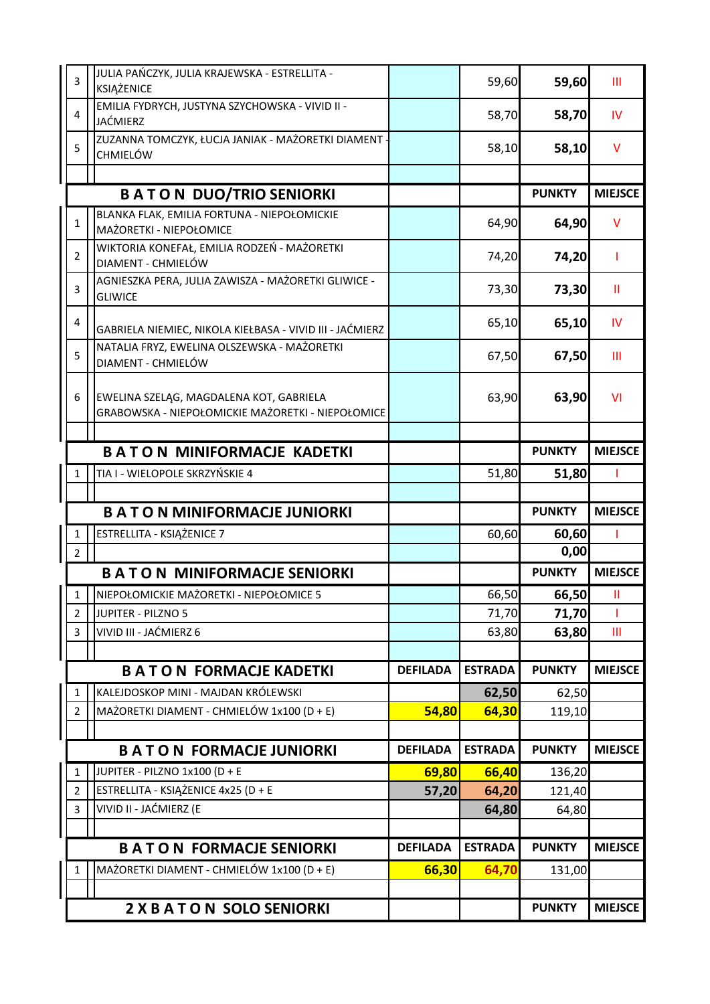| 3              | JULIA PAŃCZYK, JULIA KRAJEWSKA - ESTRELLITA -<br>KSIĄŻENICE                                  |                 | 59,60          | 59,60         | Ш              |
|----------------|----------------------------------------------------------------------------------------------|-----------------|----------------|---------------|----------------|
| $\overline{4}$ | EMILIA FYDRYCH, JUSTYNA SZYCHOWSKA - VIVID II -<br>JAĆMIERZ                                  |                 | 58,70          | 58,70         | <b>IV</b>      |
| 5              | ZUZANNA TOMCZYK, ŁUCJA JANIAK - MAŻORETKI DIAMENT -<br><b>CHMIELÓW</b>                       |                 | 58,10          | 58,10         | $\vee$         |
|                |                                                                                              |                 |                |               |                |
|                | <b>BATON DUO/TRIO SENIORKI</b>                                                               |                 |                | <b>PUNKTY</b> | <b>MIEJSCE</b> |
| $\mathbf{1}$   | BLANKA FLAK, EMILIA FORTUNA - NIEPOŁOMICKIE<br>MAŻORETKI - NIEPOŁOMICE                       |                 | 64,90          | 64,90         | v              |
| $\overline{2}$ | WIKTORIA KONEFAŁ, EMILIA RODZEŃ - MAŻORETKI<br>DIAMENT - CHMIELÓW                            |                 | 74,20          | 74,20         |                |
| 3              | AGNIESZKA PERA, JULIA ZAWISZA - MAŻORETKI GLIWICE -<br><b>GLIWICE</b>                        |                 | 73,30          | 73,30         | Ш              |
| $\overline{4}$ | GABRIELA NIEMIEC, NIKOLA KIEŁBASA - VIVID III - JAĆMIERZ                                     |                 | 65,10          | 65,10         | <b>IV</b>      |
| 5              | NATALIA FRYZ, EWELINA OLSZEWSKA - MAŻORETKI<br>DIAMENT - CHMIELÓW                            |                 | 67,50          | 67,50         | Ш              |
| 6              | EWELINA SZELĄG, MAGDALENA KOT, GABRIELA<br>GRABOWSKA - NIEPOŁOMICKIE MAŻORETKI - NIEPOŁOMICE |                 | 63,90          | 63,90         | <b>VI</b>      |
|                |                                                                                              |                 |                |               |                |
|                | <b>BATON MINIFORMACJE KADETKI</b>                                                            |                 |                | <b>PUNKTY</b> | <b>MIEJSCE</b> |
| 1              | TIA I - WIELOPOLE SKRZYŃSKIE 4                                                               |                 | 51,80          | 51,80         |                |
|                |                                                                                              |                 |                |               |                |
|                | <b>BATON MINIFORMACJE JUNIORKI</b>                                                           |                 |                | <b>PUNKTY</b> | <b>MIEJSCE</b> |
| $\mathbf{1}$   | ESTRELLITA - KSIĄŻENICE 7                                                                    |                 | 60,60          | 60,60         |                |
| $\overline{2}$ |                                                                                              |                 |                | 0,00          |                |
|                | <b>BATON MINIFORMACJE SENIORKI</b>                                                           |                 |                | <b>PUNKTY</b> | <b>MIEJSCE</b> |
| $\mathbf{1}$   | NIEPOŁOMICKIE MAŻORETKI - NIEPOŁOMICE 5                                                      |                 | 66,50          | 66,50         | Ш              |
| $\overline{2}$ | JUPITER - PILZNO 5                                                                           |                 | 71,70          | 71,70         |                |
| 3              | VIVID III - JAĆMIERZ 6                                                                       |                 | 63,80          | 63,80         | Ш              |
|                |                                                                                              |                 |                |               |                |
|                | <b>BATON FORMACJE KADETKI</b>                                                                | <b>DEFILADA</b> | <b>ESTRADA</b> | <b>PUNKTY</b> | <b>MIEJSCE</b> |
| 1              | KALEJDOSKOP MINI - MAJDAN KRÓLEWSKI                                                          |                 | 62,50          | 62,50         |                |
| $\overline{2}$ | MAŻORETKI DIAMENT - CHMIELÓW 1x100 (D + E)                                                   | 54,80           | 64,30          | 119,10        |                |
|                |                                                                                              |                 |                |               |                |
|                | <b>BATON FORMACJE JUNIORKI</b>                                                               | <b>DEFILADA</b> | <b>ESTRADA</b> | <b>PUNKTY</b> | <b>MIEJSCE</b> |
| $\mathbf 1$    | JUPITER - PILZNO 1x100 (D + E                                                                | 69,80           | 66,40          | 136,20        |                |
| $\overline{2}$ | ESTRELLITA - KSIĄŻENICE 4x25 (D + E                                                          | 57,20           | 64,20          | 121,40        |                |
| 3              | VIVID II - JAĆMIERZ (E                                                                       |                 | 64,80          | 64,80         |                |
|                |                                                                                              |                 |                |               |                |
|                | <b>BATON FORMACJE SENIORKI</b>                                                               | <b>DEFILADA</b> | <b>ESTRADA</b> | <b>PUNKTY</b> | <b>MIEJSCE</b> |
| $\mathbf{1}$   | MAŻORETKI DIAMENT - CHMIELÓW 1x100 (D + E)                                                   | 66,30           | 64,70          | 131,00        |                |
|                |                                                                                              |                 |                |               |                |
|                | <b>2 X B A T O N SOLO SENIORKI</b>                                                           |                 |                | <b>PUNKTY</b> | <b>MIEJSCE</b> |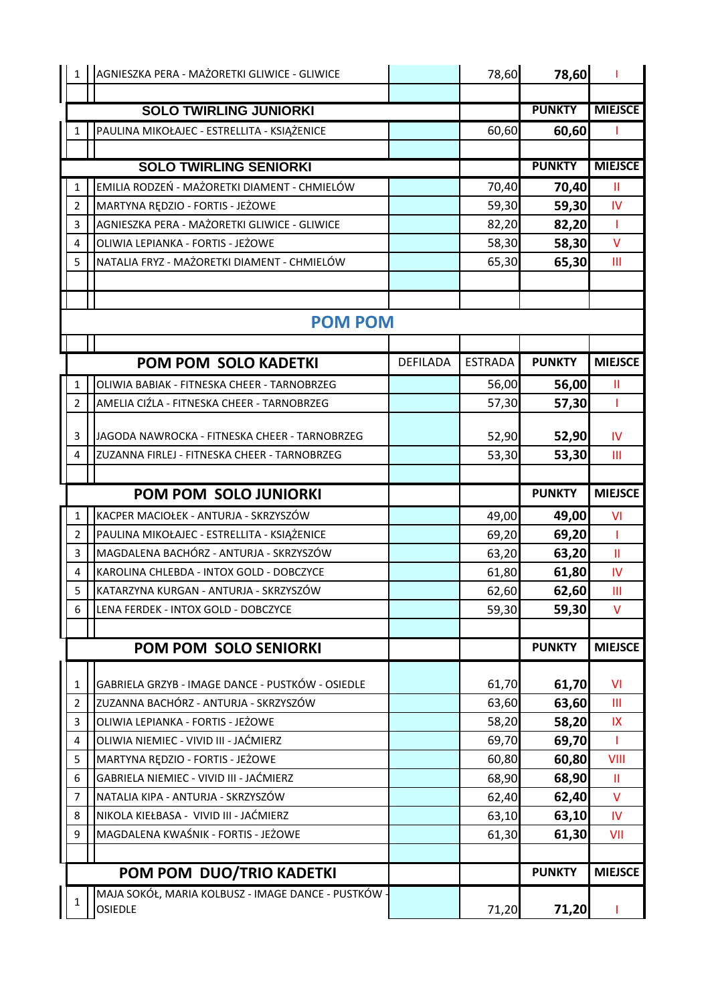| $\mathbf{1}$            | AGNIESZKA PERA - MAŻORETKI GLIWICE - GLIWICE                          |                 | 78,60          | 78,60         |                |
|-------------------------|-----------------------------------------------------------------------|-----------------|----------------|---------------|----------------|
|                         |                                                                       |                 |                |               |                |
|                         | <b>SOLO TWIRLING JUNIORKI</b>                                         |                 |                | <b>PUNKTY</b> | <b>MIEJSCE</b> |
| 1                       | PAULINA MIKOŁAJEC - ESTRELLITA - KSIĄŻENICE                           |                 | 60,60          | 60,60         |                |
|                         |                                                                       |                 |                |               |                |
|                         | <b>SOLO TWIRLING SENIORKI</b>                                         |                 |                | <b>PUNKTY</b> | <b>MIEJSCE</b> |
| $\mathbf{1}$            | EMILIA RODZEŃ - MAŻORETKI DIAMENT - CHMIELÓW                          |                 | 70,40          | 70,40         | Ш              |
| $\overline{2}$          | MARTYNA RĘDZIO - FORTIS - JEŻOWE                                      |                 | 59,30          | 59,30         | IV.            |
| 3                       | AGNIESZKA PERA - MAŻORETKI GLIWICE - GLIWICE                          |                 | 82,20          | 82,20         | T              |
| 4                       | OLIWIA LEPIANKA - FORTIS - JEŻOWE                                     |                 | 58,30          | 58,30         | V              |
| 5                       | NATALIA FRYZ - MAŻORETKI DIAMENT - CHMIELÓW                           |                 | 65,30          | 65,30         | Ш              |
|                         |                                                                       |                 |                |               |                |
|                         |                                                                       |                 |                |               |                |
|                         | <b>POM POM</b>                                                        |                 |                |               |                |
|                         | POM POM SOLO KADETKI                                                  | <b>DEFILADA</b> | <b>ESTRADA</b> | <b>PUNKTY</b> | <b>MIEJSCE</b> |
| 1                       | OLIWIA BABIAK - FITNESKA CHEER - TARNOBRZEG                           |                 | 56,00          | 56,00         | Ш              |
| $\overline{2}$          | AMELIA CIŹLA - FITNESKA CHEER - TARNOBRZEG                            |                 | 57,30          | 57,30         |                |
|                         |                                                                       |                 |                |               |                |
| 3                       | JAGODA NAWROCKA - FITNESKA CHEER - TARNOBRZEG                         |                 | 52,90          | 52,90         | IV             |
| 4                       | ZUZANNA FIRLEJ - FITNESKA CHEER - TARNOBRZEG                          |                 | 53,30          | 53,30         | Ш              |
|                         |                                                                       |                 |                |               |                |
|                         | <b>POM POM SOLO JUNIORKI</b>                                          |                 |                | <b>PUNKTY</b> | <b>MIEJSCE</b> |
| $\mathbf{1}$            | KACPER MACIOŁEK - ANTURJA - SKRZYSZÓW                                 |                 | 49,00          | 49,00         | VI             |
| $\overline{2}$          | PAULINA MIKOŁAJEC - ESTRELLITA - KSIĄŻENICE                           |                 | 69,20          | 69,20         | T              |
| 3                       | MAGDALENA BACHÓRZ - ANTURJA - SKRZYSZÓW                               |                 | 63,20          | 63,20         | $\mathbf{I}$   |
| 4                       | KAROLINA CHLEBDA - INTOX GOLD - DOBCZYCE                              |                 | 61,80          | 61,80         | IV             |
| 5                       | KATARZYNA KURGAN - ANTURJA - SKRZYSZÓW                                |                 | 62,60          | 62,60         | Ш              |
| 6                       | LENA FERDEK - INTOX GOLD - DOBCZYCE                                   |                 | 59,30          | 59,30         | V              |
|                         |                                                                       |                 |                |               |                |
|                         | POM POM SOLO SENIORKI                                                 |                 |                | <b>PUNKTY</b> | <b>MIEJSCE</b> |
| 1                       | GABRIELA GRZYB - IMAGE DANCE - PUSTKÓW - OSIEDLE                      |                 | 61,70          | 61,70         | <b>VI</b>      |
| $\overline{2}$          | ZUZANNA BACHÓRZ - ANTURJA - SKRZYSZÓW                                 |                 | 63,60          | 63,60         | Ш              |
| 3                       | OLIWIA LEPIANKA - FORTIS - JEŻOWE                                     |                 | 58,20          | 58,20         | IX             |
| $\overline{\mathbf{4}}$ | OLIWIA NIEMIEC - VIVID III - JAĆMIERZ                                 |                 | 69,70          | 69,70         | T              |
| 5                       | MARTYNA RĘDZIO - FORTIS - JEŻOWE                                      |                 | 60,80          | 60,80         | VIII           |
| 6                       | GABRIELA NIEMIEC - VIVID III - JAĆMIERZ                               |                 | 68,90          | 68,90         | Ш              |
| $\overline{7}$          | NATALIA KIPA - ANTURJA - SKRZYSZÓW                                    |                 | 62,40          | 62,40         | V              |
| 8                       | NIKOLA KIEŁBASA - VIVID III - JAĆMIERZ                                |                 | 63,10          | 63,10         | IV.            |
| 9                       | MAGDALENA KWAŚNIK - FORTIS - JEŻOWE                                   |                 | 61,30          | 61,30         | VII            |
|                         |                                                                       |                 |                |               |                |
|                         | POM POM DUO/TRIO KADETKI                                              |                 |                | <b>PUNKTY</b> | <b>MIEJSCE</b> |
| 1                       | MAJA SOKÓŁ, MARIA KOLBUSZ - IMAGE DANCE - PUSTKÓW -<br><b>OSIEDLE</b> |                 | 71,20          | 71,20         |                |
|                         |                                                                       |                 |                |               |                |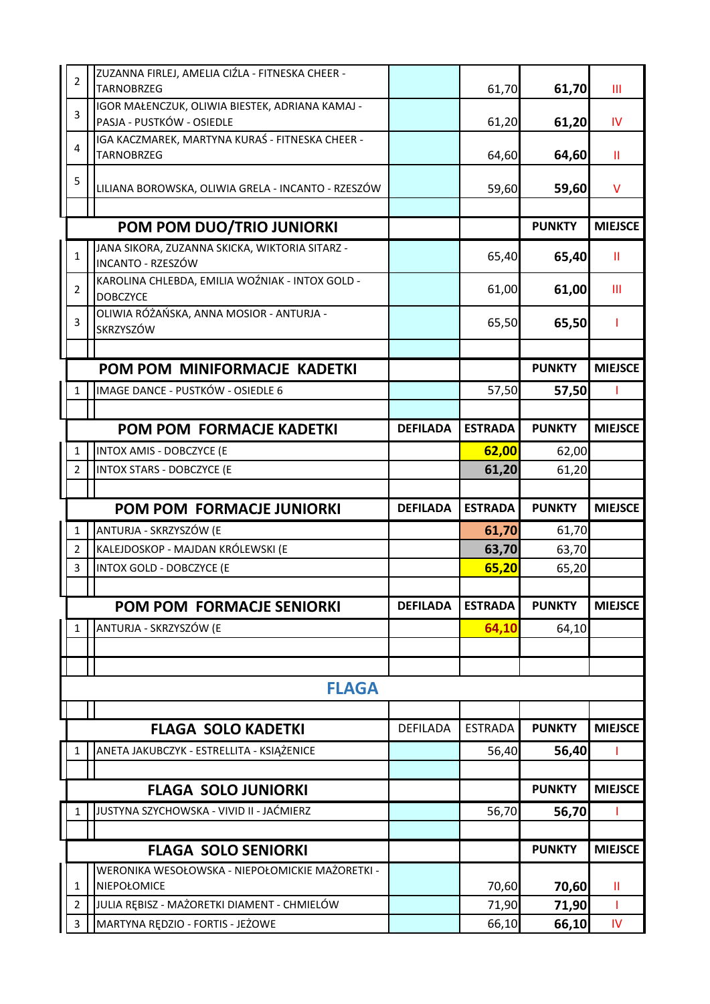| $\overline{2}$                 | ZUZANNA FIRLEJ, AMELIA CIŹLA - FITNESKA CHEER -<br><b>TARNOBRZEG</b>            |                 | 61,70          | 61,70          | Ш              |
|--------------------------------|---------------------------------------------------------------------------------|-----------------|----------------|----------------|----------------|
|                                | IGOR MAŁENCZUK, OLIWIA BIESTEK, ADRIANA KAMAJ -                                 |                 |                |                |                |
| 3                              | PASJA - PUSTKÓW - OSIEDLE                                                       |                 | 61,20          | 61,20          | IV.            |
| $\overline{4}$                 | IGA KACZMAREK, MARTYNA KURAŚ - FITNESKA CHEER -                                 |                 |                |                |                |
|                                | <b>TARNOBRZEG</b>                                                               |                 | 64,60          | 64,60          | Ш.             |
| 5                              | LILIANA BOROWSKA, OLIWIA GRELA - INCANTO - RZESZÓW                              |                 | 59,60          | 59,60          | v              |
|                                |                                                                                 |                 |                |                |                |
|                                | POM POM DUO/TRIO JUNIORKI                                                       |                 |                | <b>PUNKTY</b>  | <b>MIEJSCE</b> |
| $\mathbf{1}$                   | JANA SIKORA, ZUZANNA SKICKA, WIKTORIA SITARZ -<br><b>INCANTO - RZESZÓW</b>      |                 | 65,40          | 65,40          | Ш              |
| $\overline{2}$                 | KAROLINA CHLEBDA, EMILIA WOŹNIAK - INTOX GOLD -<br><b>DOBCZYCE</b>              |                 | 61,00          | 61,00          | Ш              |
| 3                              | OLIWIA RÓŻAŃSKA, ANNA MOSIOR - ANTURJA -                                        |                 | 65,50          | 65,50          |                |
|                                | <b>SKRZYSZÓW</b>                                                                |                 |                |                |                |
|                                |                                                                                 |                 |                | <b>PUNKTY</b>  | <b>MIEJSCE</b> |
|                                | POM POM MINIFORMACJE KADETKI                                                    |                 |                |                |                |
| 1                              | IMAGE DANCE - PUSTKÓW - OSIEDLE 6                                               |                 | 57,50          | 57,50          |                |
|                                | POM POM FORMACJE KADETKI                                                        | <b>DEFILADA</b> | <b>ESTRADA</b> | <b>PUNKTY</b>  | <b>MIEJSCE</b> |
| 1                              | INTOX AMIS - DOBCZYCE (E                                                        |                 | 62,00          | 62,00          |                |
| $\overline{2}$                 | <b>INTOX STARS - DOBCZYCE (E</b>                                                |                 | 61,20          | 61,20          |                |
|                                |                                                                                 |                 |                |                |                |
|                                |                                                                                 |                 |                |                |                |
|                                | <b>POM POM FORMACJE JUNIORKI</b>                                                | <b>DEFILADA</b> | <b>ESTRADA</b> | <b>PUNKTY</b>  | <b>MIEJSCE</b> |
| $\mathbf{1}$                   | ANTURJA - SKRZYSZÓW (E                                                          |                 | 61,70          | 61,70          |                |
| $\overline{2}$                 | KALEJDOSKOP - MAJDAN KRÓLEWSKI (E                                               |                 | 63,70          | 63,70          |                |
| 3                              | <b>INTOX GOLD - DOBCZYCE (E</b>                                                 |                 | 65,20          | 65,20          |                |
|                                |                                                                                 |                 |                |                |                |
|                                | POM POM FORMACJE SENIORKI                                                       | <b>DEFILADA</b> | <b>ESTRADA</b> | <b>PUNKTY</b>  | <b>MIEJSCE</b> |
| $\mathbf{1}$                   | ANTURJA - SKRZYSZÓW (E                                                          |                 | 64,10          | 64,10          |                |
|                                |                                                                                 |                 |                |                |                |
|                                |                                                                                 |                 |                |                |                |
|                                | <b>FLAGA</b>                                                                    |                 |                |                |                |
|                                | <b>FLAGA SOLO KADETKI</b>                                                       | <b>DEFILADA</b> | <b>ESTRADA</b> | <b>PUNKTY</b>  | <b>MIEJSCE</b> |
| 1                              | ANETA JAKUBCZYK - ESTRELLITA - KSIĄŻENICE                                       |                 | 56,40          | 56,40          |                |
|                                |                                                                                 |                 |                |                |                |
|                                | <b>FLAGA SOLO JUNIORKI</b>                                                      |                 |                | <b>PUNKTY</b>  | <b>MIEJSCE</b> |
| 1                              | JUSTYNA SZYCHOWSKA - VIVID II - JAĆMIERZ                                        |                 | 56,70          | 56,70          |                |
|                                |                                                                                 |                 |                |                |                |
|                                | <b>FLAGA SOLO SENIORKI</b>                                                      |                 |                | <b>PUNKTY</b>  | <b>MIEJSCE</b> |
|                                | WERONIKA WESOŁOWSKA - NIEPOŁOMICKIE MAŻORETKI -                                 |                 |                |                |                |
| $\mathbf{1}$                   | NIEPOŁOMICE                                                                     |                 | 70,60          | 70,60          | Ш              |
| $\overline{2}$<br>$\mathbf{3}$ | JULIA REBISZ - MAŻORETKI DIAMENT - CHMIELÓW<br>MARTYNA RĘDZIO - FORTIS - JEŻOWE |                 | 71,90<br>66,10 | 71,90<br>66,10 | L<br>IV        |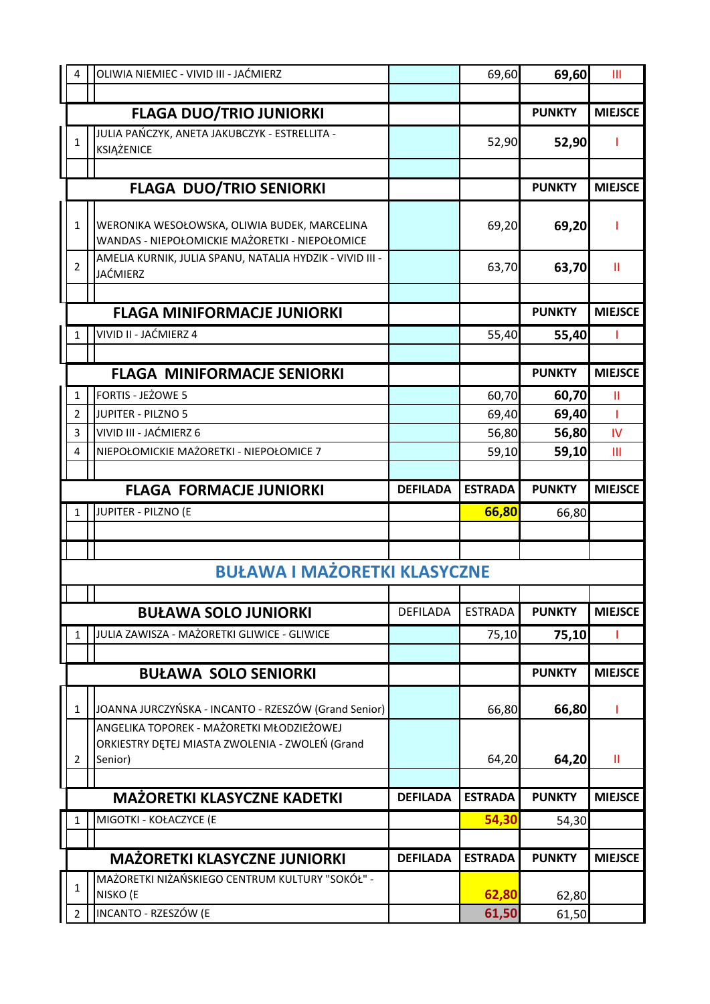| 4              | OLIWIA NIEMIEC - VIVID III - JAĆMIERZ                                                          |                 | 69,60          | 69,60         | Ш              |
|----------------|------------------------------------------------------------------------------------------------|-----------------|----------------|---------------|----------------|
|                |                                                                                                |                 |                |               |                |
|                | <b>FLAGA DUO/TRIO JUNIORKI</b>                                                                 |                 |                | <b>PUNKTY</b> | <b>MIEJSCE</b> |
| 1              | JULIA PAŃCZYK, ANETA JAKUBCZYK - ESTRELLITA -<br>KSIĄŻENICE                                    |                 | 52,90          | 52,90         |                |
|                |                                                                                                |                 |                |               |                |
|                | <b>FLAGA DUO/TRIO SENIORKI</b>                                                                 |                 |                | <b>PUNKTY</b> | <b>MIEJSCE</b> |
|                |                                                                                                |                 |                |               |                |
| $\mathbf{1}$   | WERONIKA WESOŁOWSKA, OLIWIA BUDEK, MARCELINA<br>WANDAS - NIEPOŁOMICKIE MAŻORETKI - NIEPOŁOMICE |                 | 69,20          | 69,20         |                |
| $\overline{2}$ | AMELIA KURNIK, JULIA SPANU, NATALIA HYDZIK - VIVID III -                                       |                 | 63,70          | 63,70         | Ш              |
|                | <b>JAĆMIERZ</b>                                                                                |                 |                |               |                |
|                |                                                                                                |                 |                | <b>PUNKTY</b> | <b>MIEJSCE</b> |
|                | <b>FLAGA MINIFORMACJE JUNIORKI</b>                                                             |                 |                |               |                |
| 1              | VIVID II - JAĆMIERZ 4                                                                          |                 | 55,40          | 55,40         |                |
|                | <b>FLAGA MINIFORMACJE SENIORKI</b>                                                             |                 |                | <b>PUNKTY</b> | <b>MIEJSCE</b> |
| 1              | <b>FORTIS - JEŻOWE 5</b>                                                                       |                 | 60,70          | 60,70         | Ш              |
| $\overline{2}$ | JUPITER - PILZNO 5                                                                             |                 | 69,40          | 69,40         | L              |
| 3              | VIVID III - JAĆMIERZ 6                                                                         |                 | 56,80          | 56,80         | IV             |
| 4              | NIEPOŁOMICKIE MAŻORETKI - NIEPOŁOMICE 7                                                        |                 | 59,10          | 59,10         | Ш              |
|                |                                                                                                |                 |                |               |                |
|                | <b>FLAGA FORMACJE JUNIORKI</b>                                                                 | <b>DEFILADA</b> | <b>ESTRADA</b> | <b>PUNKTY</b> | <b>MIEJSCE</b> |
| 1              | JUPITER - PILZNO (E                                                                            |                 | 66,80          | 66,80         |                |
|                |                                                                                                |                 |                |               |                |
|                |                                                                                                |                 |                |               |                |
|                | <b>BUŁAWA I MAŻORETKI KLASYCZNE</b>                                                            |                 |                |               |                |
|                |                                                                                                |                 |                |               |                |
|                | <b>BUŁAWA SOLO JUNIORKI</b>                                                                    | <b>DEFILADA</b> | <b>ESTRADA</b> | <b>PUNKTY</b> | <b>MIEJSCE</b> |
| 1              | JULIA ZAWISZA - MAŻORETKI GLIWICE - GLIWICE                                                    |                 | 75,10          | 75,10         |                |
|                | <b>BUŁAWA SOLO SENIORKI</b>                                                                    |                 |                | <b>PUNKTY</b> | <b>MIEJSCE</b> |
|                |                                                                                                |                 |                |               |                |
| $\mathbf{1}$   | JOANNA JURCZYŃSKA - INCANTO - RZESZÓW (Grand Senior)                                           |                 | 66,80          | 66,80         |                |
|                | ANGELIKA TOPOREK - MAŻORETKI MŁODZIEŻOWEJ                                                      |                 |                |               |                |
| $\overline{2}$ | ORKIESTRY DĘTEJ MIASTA ZWOLENIA - ZWOLEŃ (Grand<br>Senior)                                     |                 | 64,20          | 64,20         | Ш              |
|                |                                                                                                |                 |                |               |                |
|                | <b>MAŻORETKI KLASYCZNE KADETKI</b>                                                             | <b>DEFILADA</b> | <b>ESTRADA</b> | <b>PUNKTY</b> | <b>MIEJSCE</b> |
| 1              | MIGOTKI - KOŁACZYCE (E                                                                         |                 | 54,30          | 54,30         |                |
|                |                                                                                                |                 |                |               |                |
|                | <b>MAŻORETKI KLASYCZNE JUNIORKI</b>                                                            | <b>DEFILADA</b> | <b>ESTRADA</b> | <b>PUNKTY</b> | <b>MIEJSCE</b> |
|                |                                                                                                |                 |                |               |                |
| $\mathbf{1}$   | MAŻORETKI NIŻAŃSKIEGO CENTRUM KULTURY "SOKÓŁ" -<br>NISKO (E                                    |                 | 62,80          | 62,80         |                |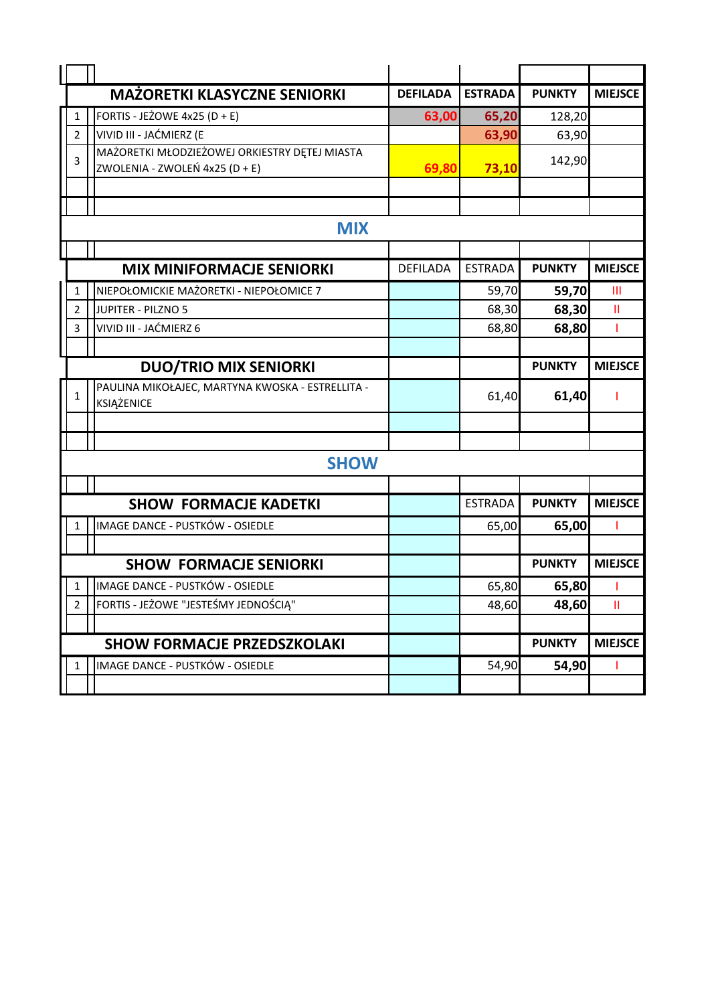|                | <b>MAŻORETKI KLASYCZNE SENIORKI</b>                                             | <b>DEFILADA</b> | <b>ESTRADA</b> | <b>PUNKTY</b> | <b>MIEJSCE</b> |
|----------------|---------------------------------------------------------------------------------|-----------------|----------------|---------------|----------------|
| 1              | FORTIS - JEŻOWE 4x25 (D + E)                                                    | 63,00           | 65,20          | 128,20        |                |
| 2              | VIVID III - JAĆMIERZ (E                                                         |                 | 63,90          | 63,90         |                |
| 3              | MAŻORETKI MŁODZIEŻOWEJ ORKIESTRY DĘTEJ MIASTA<br>ZWOLENIA - ZWOLEŃ 4x25 (D + E) | 69,80           | 73,10          | 142,90        |                |
|                |                                                                                 |                 |                |               |                |
|                |                                                                                 |                 |                |               |                |
|                | <b>MIX</b>                                                                      |                 |                |               |                |
|                |                                                                                 |                 |                |               |                |
|                | <b>MIX MINIFORMACJE SENIORKI</b>                                                | DEFILADA        | <b>ESTRADA</b> | <b>PUNKTY</b> | <b>MIEJSCE</b> |
| 1              | NIEPOŁOMICKIE MAŻORETKI - NIEPOŁOMICE 7                                         |                 | 59,70          | 59,70         | $\mathbf{III}$ |
| 2              | <b>JUPITER - PILZNO 5</b>                                                       |                 | 68,30          | 68,30         | $\mathbf{II}$  |
| 3              | VIVID III - JAĆMIERZ 6                                                          |                 | 68,80          | 68,80         | T              |
|                |                                                                                 |                 |                |               |                |
|                | <b>DUO/TRIO MIX SENIORKI</b>                                                    |                 |                | <b>PUNKTY</b> | <b>MIEJSCE</b> |
| 1              | PAULINA MIKOŁAJEC, MARTYNA KWOSKA - ESTRELLITA -<br>KSIĄŻENICE                  |                 | 61,40          | 61,40         |                |
|                |                                                                                 |                 |                |               |                |
|                |                                                                                 |                 |                |               |                |
|                | <b>SHOW</b>                                                                     |                 |                |               |                |
|                |                                                                                 |                 |                |               |                |
|                | <b>SHOW FORMACJE KADETKI</b>                                                    |                 | <b>ESTRADA</b> | <b>PUNKTY</b> | <b>MIEJSCE</b> |
| 1              | IMAGE DANCE - PUSTKÓW - OSIEDLE                                                 |                 | 65,00          | 65,00         |                |
|                |                                                                                 |                 |                |               |                |
|                | <b>SHOW FORMACJE SENIORKI</b>                                                   |                 |                | <b>PUNKTY</b> | <b>MIEJSCE</b> |
| 1              | IMAGE DANCE - PUSTKÓW - OSIEDLE                                                 |                 | 65,80          | 65,80         |                |
| $\overline{2}$ | FORTIS - JEŻOWE "JESTEŚMY JEDNOŚCIĄ"                                            |                 | 48,60          | 48,60         | Ш              |
|                |                                                                                 |                 |                |               |                |
|                | <b>SHOW FORMACJE PRZEDSZKOLAKI</b>                                              |                 |                | <b>PUNKTY</b> | <b>MIEJSCE</b> |
|                | IMAGE DANCE - PUSTKÓW - OSIEDLE                                                 |                 | 54,90          | 54,90         |                |
|                |                                                                                 |                 |                |               |                |